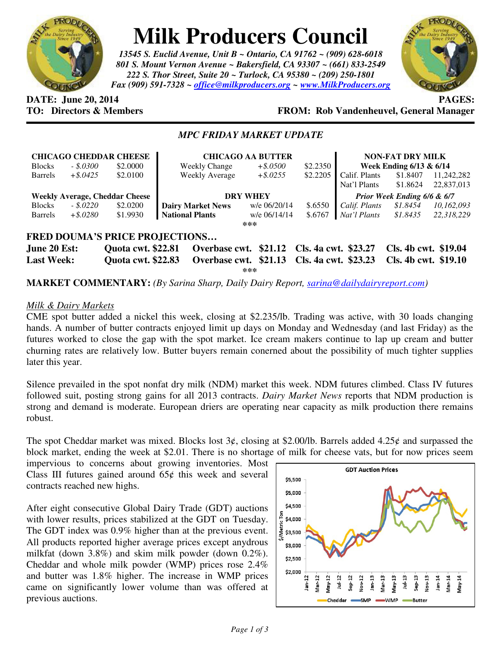

# **Milk Producers Council**

*13545 S. Euclid Avenue, Unit B ~ Ontario, CA 91762 ~ (909) 628-6018 801 S. Mount Vernon Avenue ~ Bakersfield, CA 93307 ~ (661) 833-2549 222 S. Thor Street, Suite 20 ~ Turlock, CA 95380 ~ (209) 250-1801 Fax (909) 591-7328 ~ office@milkproducers.org ~ www.MilkProducers.org*



# **DATE:** June 20, 2014 **PAGES: PAGES: PAGES: PAGES: PAGES: PAGES: PAGES: PAGES: PAGES: PAGES: PAGES: PAGES: PAGES: PAGES: PAGES: PAGES: PAGES: PAGES: PAGES: PAGES: P**

# **TO: Directors & Members FROM: Rob Vandenheuvel, General Manager**

## *MPC FRIDAY MARKET UPDATE*

|                                       |             | <b>CHICAGO CHEDDAR CHEESE</b> | <b>CHICAGO AA BUTTER</b> |                                            |                             | <b>NON-FAT DRY MILK</b>     |                      |                      |  |
|---------------------------------------|-------------|-------------------------------|--------------------------|--------------------------------------------|-----------------------------|-----------------------------|----------------------|----------------------|--|
| <b>Blocks</b>                         | $-.5.0300$  | \$2,0000                      | <b>Weekly Change</b>     | $+$ \$.0500                                | \$2.2350                    | Week Ending $6/13$ & $6/14$ |                      |                      |  |
| <b>Barrels</b>                        | $+$ \$.0425 | \$2,0100                      | <b>Weekly Average</b>    | $+$ \$.0255                                | \$2.2205                    | Calif. Plants               | \$1.8407             | 11.242.282           |  |
|                                       |             |                               |                          |                                            |                             | Nat'l Plants                | \$1.8624             | 22,837,013           |  |
| <b>Weekly Average, Cheddar Cheese</b> |             |                               | <b>DRY WHEY</b>          |                                            |                             | Prior Week Ending 6/6 & 6/7 |                      |                      |  |
| <b>Blocks</b>                         | $-.5.0220$  | \$2.0200                      | <b>Dairy Market News</b> | w/e 06/20/14                               | \$.6550                     | Calif. Plants               | \$1.8454             | 10,162,093           |  |
| Barrels                               | $+$ \$.0280 | \$1.9930                      | <b>National Plants</b>   | w/e 06/14/14                               | \$.6767                     | Nat'l Plants                | \$1.8435             | 22,318,229           |  |
| $***$                                 |             |                               |                          |                                            |                             |                             |                      |                      |  |
| <b>FRED DOUMA'S PRICE PROJECTIONS</b> |             |                               |                          |                                            |                             |                             |                      |                      |  |
| June 20 Est:                          |             | <b>Quota cwt. \$22.81</b>     |                          | Overbase cwt. \$21.12 Cls. 4a cwt. \$23.27 |                             |                             |                      | Cls. 4b cwt. \$19.04 |  |
| <b>Last Week:</b>                     |             | <b>Ouota cwt. \$22.83</b>     | Overbase cwt. \$21.13    |                                            | <b>Cls. 4a cwt. \$23.23</b> |                             | Cls. 4b cwt. \$19.10 |                      |  |

**\*\*\*** 

**MARKET COMMENTARY:** *(By Sarina Sharp, Daily Dairy Report, sarina@dailydairyreport.com)* 

#### *Milk & Dairy Markets*

CME spot butter added a nickel this week, closing at \$2.235/lb. Trading was active, with 30 loads changing hands. A number of butter contracts enjoyed limit up days on Monday and Wednesday (and last Friday) as the futures worked to close the gap with the spot market. Ice cream makers continue to lap up cream and butter churning rates are relatively low. Butter buyers remain conerned about the possibility of much tighter supplies later this year.

Silence prevailed in the spot nonfat dry milk (NDM) market this week. NDM futures climbed. Class IV futures followed suit, posting strong gains for all 2013 contracts. *Dairy Market News* reports that NDM production is strong and demand is moderate. European driers are operating near capacity as milk production there remains robust.

The spot Cheddar market was mixed. Blocks lost  $3¢$ , closing at \$2.00/lb. Barrels added 4.25¢ and surpassed the block market, ending the week at \$2.01. There is no shortage of milk for cheese vats, but for now prices seem

impervious to concerns about growing inventories. Most Class III futures gained around  $65¢$  this week and several contracts reached new highs.

After eight consecutive Global Dairy Trade (GDT) auctions with lower results, prices stabilized at the GDT on Tuesday. The GDT index was 0.9% higher than at the previous event. All products reported higher average prices except anydrous milkfat (down 3.8%) and skim milk powder (down 0.2%). Cheddar and whole milk powder (WMP) prices rose 2.4% and butter was 1.8% higher. The increase in WMP prices came on significantly lower volume than was offered at previous auctions.

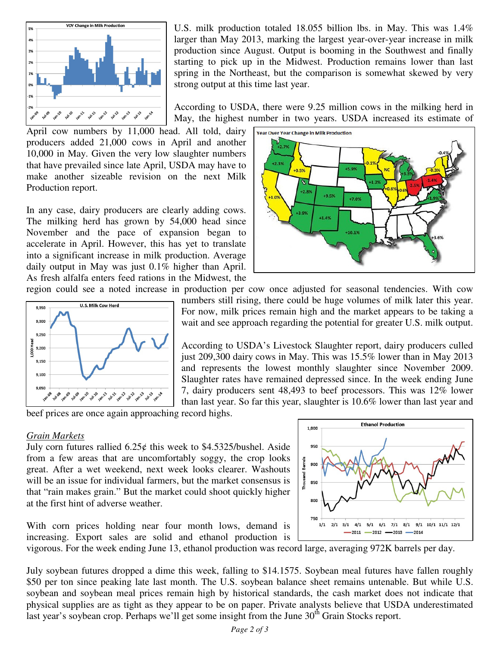

U.S. milk production totaled 18.055 billion lbs. in May. This was 1.4% larger than May 2013, marking the largest year-over-year increase in milk production since August. Output is booming in the Southwest and finally starting to pick up in the Midwest. Production remains lower than last spring in the Northeast, but the comparison is somewhat skewed by very strong output at this time last year.

According to USDA, there were 9.25 million cows in the milking herd in May, the highest number in two years. USDA increased its estimate of

April cow numbers by 11,000 head. All told, dairy producers added 21,000 cows in April and another 10,000 in May. Given the very low slaughter numbers that have prevailed since late April, USDA may have to make another sizeable revision on the next Milk Production report.

In any case, dairy producers are clearly adding cows. The milking herd has grown by 54,000 head since November and the pace of expansion began to accelerate in April. However, this has yet to translate into a significant increase in milk production. Average daily output in May was just 0.1% higher than April. As fresh alfalfa enters feed rations in the Midwest, the



region could see a noted increase in production per cow once adjusted for seasonal tendencies. With cow numbers still rising, there could be huge volumes of milk later this year. For now, milk prices remain high and the market appears to be taking a wait and see approach regarding the potential for greater U.S. milk output.

> According to USDA's Livestock Slaughter report, dairy producers culled just 209,300 dairy cows in May. This was 15.5% lower than in May 2013 and represents the lowest monthly slaughter since November 2009. Slaughter rates have remained depressed since. In the week ending June 7, dairy producers sent 48,493 to beef processors. This was 12% lower than last year. So far this year, slaughter is 10.6% lower than last year and

beef prices are once again approaching record highs.

#### *Grain Markets*

July corn futures rallied  $6.25¢$  this week to \$4.5325/bushel. Aside from a few areas that are uncomfortably soggy, the crop looks great. After a wet weekend, next week looks clearer. Washouts will be an issue for individual farmers, but the market consensus is that "rain makes grain." But the market could shoot quickly higher at the first hint of adverse weather.

With corn prices holding near four month lows, demand is increasing. Export sales are solid and ethanol production is



vigorous. For the week ending June 13, ethanol production was record large, averaging 972K barrels per day.

July soybean futures dropped a dime this week, falling to \$14.1575. Soybean meal futures have fallen roughly \$50 per ton since peaking late last month. The U.S. soybean balance sheet remains untenable. But while U.S. soybean and soybean meal prices remain high by historical standards, the cash market does not indicate that physical supplies are as tight as they appear to be on paper. Private analysts believe that USDA underestimated last year's soybean crop. Perhaps we'll get some insight from the June  $30<sup>th</sup>$  Grain Stocks report.